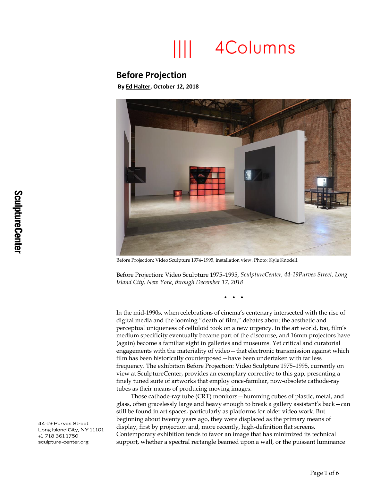## 4Columns

## **Before Projection**

**B[y Ed Halter,](http://4columns.org/about/contributors/#halter-ed) October 12, 2018**



Before Projection: Video Sculpture 1974–1995, installation view. Photo: Kyle Knodell.

Before Projection: Video Sculpture 1975–1995, *SculptureCenter, 44-19Purves Street, Long Island City, New York*, *through December 17, 2018*

• • •

In the mid-1990s, when celebrations of cinema's centenary intersected with the rise of digital media and the looming "death of film," debates about the aesthetic and perceptual uniqueness of celluloid took on a new urgency. In the art world, too, film's medium specificity eventually became part of the discourse, and 16mm projectors have (again) become a familiar sight in galleries and museums. Yet critical and curatorial engagements with the materiality of video—that electronic transmission against which film has been historically counterposed—have been undertaken with far less frequency. The exhibition Before Projection: Video Sculpture 1975–1995, currently on view at SculptureCenter, provides an exemplary corrective to this gap, presenting a finely tuned suite of artworks that employ once-familiar, now-obsolete cathode-ray tubes as their means of producing moving images.

Those cathode-ray tube (CRT) monitors—humming cubes of plastic, metal, and glass, often gracelessly large and heavy enough to break a gallery assistant's back—can still be found in art spaces, particularly as platforms for older video work. But beginning about twenty years ago, they were displaced as the primary means of display, first by projection and, more recently, high-definition flat screens. Contemporary exhibition tends to favor an image that has minimized its technical support, whether a spectral rectangle beamed upon a wall, or the puissant luminance

44-19 Purves Street Long Island City, NY 11101 +1 718 361 1750 sculpture-center.org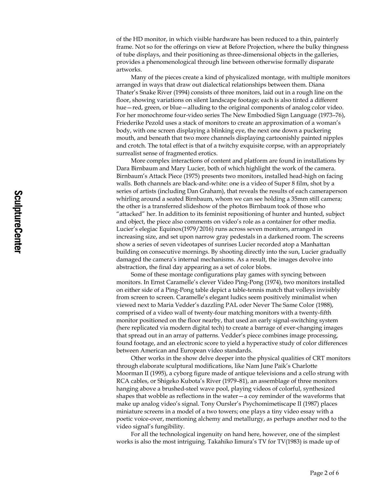of the HD monitor, in which visible hardware has been reduced to a thin, painterly frame. Not so for the offerings on view at Before Projection, where the bulky thingness of tube displays, and their positioning as three-dimensional objects in the galleries, provides a phenomenological through line between otherwise formally disparate artworks.

Many of the pieces create a kind of physicalized montage, with multiple monitors arranged in ways that draw out dialectical relationships between them. Diana Thater's Snake River (1994) consists of three monitors, laid out in a rough line on the floor, showing variations on silent landscape footage; each is also tinted a different hue—red, green, or blue—alluding to the original components of analog color video. For her monochrome four-video series The New Embodied Sign Language (1973–76), Friederike Pezold uses a stack of monitors to create an approximation of a woman's body, with one screen displaying a blinking eye, the next one down a puckering mouth, and beneath that two more channels displaying cartoonishly painted nipples and crotch. The total effect is that of a twitchy exquisite corpse, with an appropriately surrealist sense of fragmented erotics.

More complex interactions of content and platform are found in installations by Dara Birnbaum and Mary Lucier, both of which highlight the work of the camera. Birnbaum's Attack Piece (1975) presents two monitors, installed head-high on facing walls. Both channels are black-and-white: one is a video of Super 8 film, shot by a series of artists (including Dan Graham), that reveals the results of each cameraperson whirling around a seated Birnbaum, whom we can see holding a 35mm still camera; the other is a transferred slideshow of the photos Birnbaum took of those who "attacked" her. In addition to its feminist repositioning of hunter and hunted, subject and object, the piece also comments on video's role as a container for other media. Lucier's elegiac Equinox(1979/2016) runs across seven monitors, arranged in increasing size, and set upon narrow gray pedestals in a darkened room. The screens show a series of seven videotapes of sunrises Lucier recorded atop a Manhattan building on consecutive mornings. By shooting directly into the sun, Lucier gradually damaged the camera's internal mechanisms. As a result, the images devolve into abstraction, the final day appearing as a set of color blobs.

Some of these montage configurations play games with syncing between monitors. In Ernst Caramelle's clever Video Ping-Pong (1974), two monitors installed on either side of a Ping-Pong table depict a table-tennis match that volleys invisibly from screen to screen. Caramelle's elegant ludics seem positively minimalist when viewed next to Maria Vedder's dazzling PAL oder Never The Same Color (1988), comprised of a video wall of twenty-four matching monitors with a twenty-fifth monitor positioned on the floor nearby, that used an early signal-switching system (here replicated via modern digital tech) to create a barrage of ever-changing images that spread out in an array of patterns. Vedder's piece combines image processing, found footage, and an electronic score to yield a hyperactive study of color differences between American and European video standards.

Other works in the show delve deeper into the physical qualities of CRT monitors through elaborate sculptural modifications, like Nam June Paik's Charlotte Moorman II (1995), a cyborg figure made of antique televisions and a cello strung with RCA cables, or Shigeko Kubota's River (1979–81), an assemblage of three monitors hanging above a brushed-steel wave pool, playing videos of colorful, synthesized shapes that wobble as reflections in the water—a coy reminder of the waveforms that make up analog video's signal. Tony Oursler's Psychomimetiscape II (1987) places miniature screens in a model of a two towers; one plays a tiny video essay with a poetic voice-over, mentioning alchemy and metallurgy, as perhaps another nod to the video signal's fungibility.

For all the technological ingenuity on hand here, however, one of the simplest works is also the most intriguing. Takahiko Iimura's TV for TV(1983) is made up of